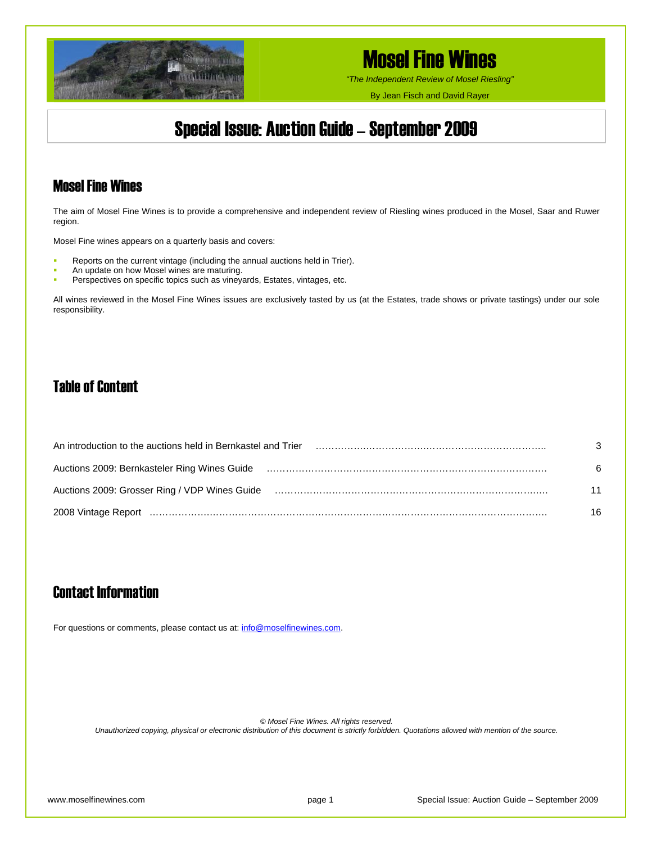

*"The Independent Review of Mosel Riesling"*

By Jean Fisch and David Rayer

## Special Issue: Auction Guide – September 2009

### Mosel Fine Wines

The aim of Mosel Fine Wines is to provide a comprehensive and independent review of Riesling wines produced in the Mosel, Saar and Ruwer region.

Mosel Fine wines appears on a quarterly basis and covers:

- Reports on the current vintage (including the annual auctions held in Trier).
- An update on how Mosel wines are maturing.
- **Perspectives on specific topics such as vineyards, Estates, vintages, etc.**

All wines reviewed in the Mosel Fine Wines issues are exclusively tasted by us (at the Estates, trade shows or private tastings) under our sole responsibility.

## Table of Content

| An introduction to the auctions held in Bernkastel and Trier                                                   | 3  |
|----------------------------------------------------------------------------------------------------------------|----|
| Auctions 2009: Bernkasteler Ring Wines Guide                                                                   | 6  |
| Auctions 2009: Grosser Ring / VDP Wines Guide (and the content content content and an extending content and th | 11 |
|                                                                                                                | 16 |

## Contact Information

For questions or comments, please contact us at: [info@moselfinewines.com](mailto:info@moselfinewines.com).

*© Mosel Fine Wines. All rights reserved.* 

*Unauthorized copying, physical or electronic distribution of this document is strictly forbidden. Quotations allowed with mention of the source.*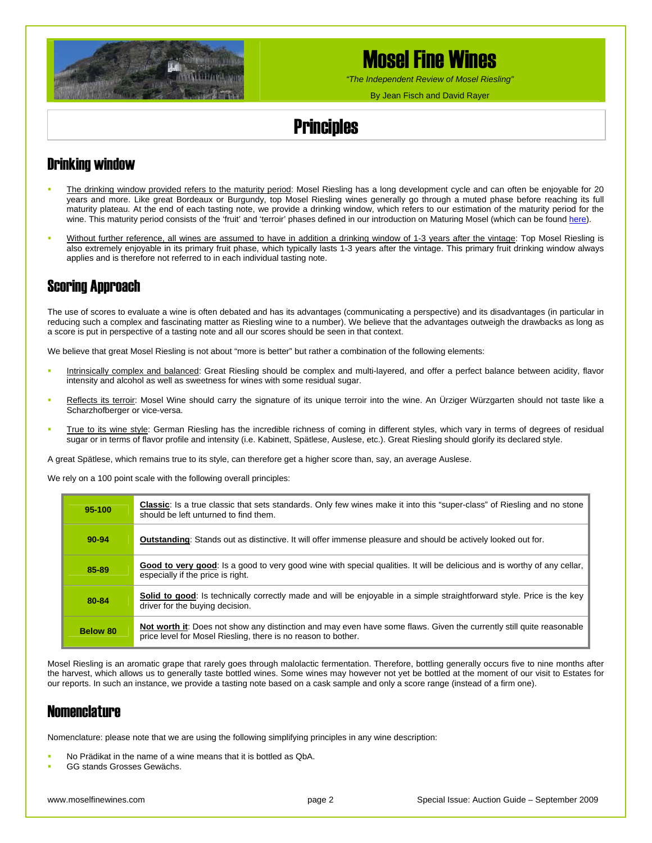

*"The Independent Review of Mosel Riesling"*

By Jean Fisch and David Rayer

# **Principles**

## Drinking window

- The drinking window provided refers to the maturity period: Mosel Riesling has a long development cycle and can often be enjoyable for 20 years and more. Like great Bordeaux or Burgundy, top Mosel Riesling wines generally go through a muted phase before reaching its full maturity plateau. At the end of each tasting note, we provide a drinking window, which refers to our estimation of the maturity period for the wine. This maturity period consists of the 'fruit' and 'terroir' phases defined in our introduction on Maturing Mosel (which can be found [here\)](http://www.moselfinewines.com/maturingmosel.htm).
- Without further reference, all wines are assumed to have in addition a drinking window of 1-3 years after the vintage: Top Mosel Riesling is also extremely enjoyable in its primary fruit phase, which typically lasts 1-3 years after the vintage. This primary fruit drinking window always applies and is therefore not referred to in each individual tasting note.

## Scoring Approach

The use of scores to evaluate a wine is often debated and has its advantages (communicating a perspective) and its disadvantages (in particular in reducing such a complex and fascinating matter as Riesling wine to a number). We believe that the advantages outweigh the drawbacks as long as a score is put in perspective of a tasting note and all our scores should be seen in that context.

We believe that great Mosel Riesling is not about "more is better" but rather a combination of the following elements:

- Intrinsically complex and balanced: Great Riesling should be complex and multi-layered, and offer a perfect balance between acidity, flavor intensity and alcohol as well as sweetness for wines with some residual sugar.
- **Reflects its terroir: Mosel Wine should carry the signature of its unique terroir into the wine. An Ürziger Würzgarten should not taste like a** Scharzhofberger or vice-versa.
- True to its wine style: German Riesling has the incredible richness of coming in different styles, which vary in terms of degrees of residual sugar or in terms of flavor profile and intensity (i.e. Kabinett, Spätlese, Auslese, etc.). Great Riesling should glorify its declared style.

A great Spätlese, which remains true to its style, can therefore get a higher score than, say, an average Auslese.

We rely on a 100 point scale with the following overall principles:

| 95-100    | <b>Classic</b> : Is a true classic that sets standards. Only few wines make it into this "super-class" of Riesling and no stone<br>should be left unturned to find them.              |
|-----------|---------------------------------------------------------------------------------------------------------------------------------------------------------------------------------------|
| $90 - 94$ | <b>Outstanding:</b> Stands out as distinctive. It will offer immense pleasure and should be actively looked out for.                                                                  |
| 85-89     | Good to very good: Is a good to very good wine with special qualities. It will be delicious and is worthy of any cellar,<br>especially if the price is right.                         |
| 80-84     | Solid to good: Is technically correctly made and will be enjoyable in a simple straightforward style. Price is the key<br>driver for the buying decision.                             |
| Below 80  | Not worth it: Does not show any distinction and may even have some flaws. Given the currently still quite reasonable<br>price level for Mosel Riesling, there is no reason to bother. |

Mosel Riesling is an aromatic grape that rarely goes through malolactic fermentation. Therefore, bottling generally occurs five to nine months after the harvest, which allows us to generally taste bottled wines. Some wines may however not yet be bottled at the moment of our visit to Estates for our reports. In such an instance, we provide a tasting note based on a cask sample and only a score range (instead of a firm one).

### **Nomenclature**

Nomenclature: please note that we are using the following simplifying principles in any wine description:

- No Prädikat in the name of a wine means that it is bottled as QbA.
- GG stands Grosses Gewächs.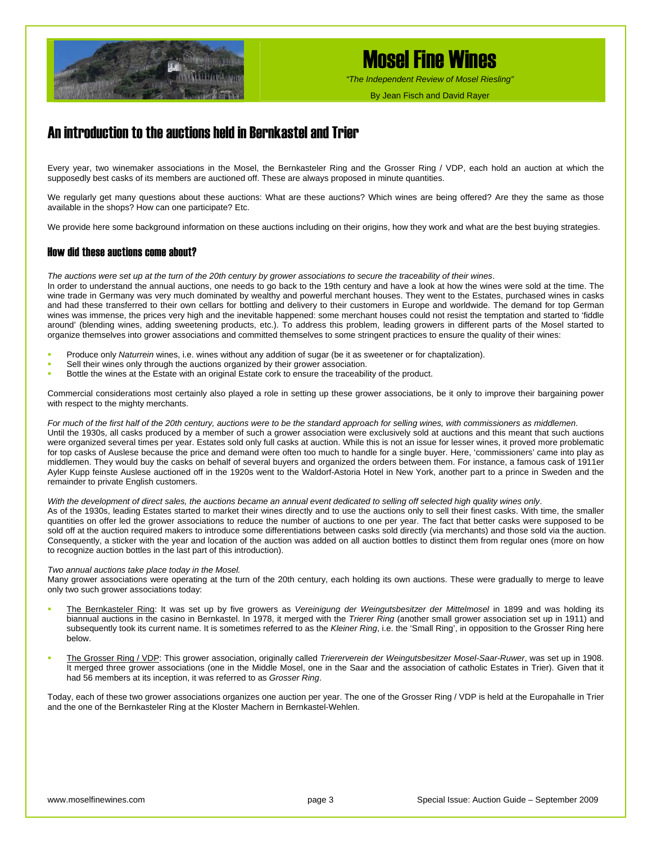

*"The Independent Review of Mosel Riesling"*

By Jean Fisch and David Rayer

## An introduction to the auctions held in Bernkastel and Trier

Every year, two winemaker associations in the Mosel, the Bernkasteler Ring and the Grosser Ring / VDP, each hold an auction at which the supposedly best casks of its members are auctioned off. These are always proposed in minute quantities.

We regularly get many questions about these auctions: What are these auctions? Which wines are being offered? Are they the same as those available in the shops? How can one participate? Etc.

We provide here some background information on these auctions including on their origins, how they work and what are the best buying strategies.

### How did these auctions come about?

*The auctions were set up at the turn of the 20th century by grower associations to secure the traceability of their wines*.

In order to understand the annual auctions, one needs to go back to the 19th century and have a look at how the wines were sold at the time. The wine trade in Germany was very much dominated by wealthy and powerful merchant houses. They went to the Estates, purchased wines in casks and had these transferred to their own cellars for bottling and delivery to their customers in Europe and worldwide. The demand for top German wines was immense, the prices very high and the inevitable happened: some merchant houses could not resist the temptation and started to 'fiddle around' (blending wines, adding sweetening products, etc.). To address this problem, leading growers in different parts of the Mosel started to organize themselves into grower associations and committed themselves to some stringent practices to ensure the quality of their wines:

- Produce only *Naturrein* wines, i.e. wines without any addition of sugar (be it as sweetener or for chaptalization).
- Sell their wines only through the auctions organized by their grower association.
- Bottle the wines at the Estate with an original Estate cork to ensure the traceability of the product.

Commercial considerations most certainly also played a role in setting up these grower associations, be it only to improve their bargaining power with respect to the mighty merchants.

*For much of the first half of the 20th century, auctions were to be the standard approach for selling wines, with commissioners as middlemen*. Until the 1930s, all casks produced by a member of such a grower association were exclusively sold at auctions and this meant that such auctions were organized several times per year. Estates sold only full casks at auction. While this is not an issue for lesser wines, it proved more problematic for top casks of Auslese because the price and demand were often too much to handle for a single buyer. Here, 'commissioners' came into play as middlemen. They would buy the casks on behalf of several buyers and organized the orders between them. For instance, a famous cask of 1911er Ayler Kupp feinste Auslese auctioned off in the 1920s went to the Waldorf-Astoria Hotel in New York, another part to a prince in Sweden and the remainder to private English customers.

#### *With the development of direct sales, the auctions became an annual event dedicated to selling off selected high quality wines only*.

As of the 1930s, leading Estates started to market their wines directly and to use the auctions only to sell their finest casks. With time, the smaller quantities on offer led the grower associations to reduce the number of auctions to one per year. The fact that better casks were supposed to be sold off at the auction required makers to introduce some differentiations between casks sold directly (via merchants) and those sold via the auction. Consequently, a sticker with the year and location of the auction was added on all auction bottles to distinct them from regular ones (more on how to recognize auction bottles in the last part of this introduction).

#### *Two annual auctions take place today in the Mosel.*

Many grower associations were operating at the turn of the 20th century, each holding its own auctions. These were gradually to merge to leave only two such grower associations today:

- The Bernkasteler Ring: It was set up by five growers as *Vereinigung der Weingutsbesitzer der Mittelmosel* in 1899 and was holding its biannual auctions in the casino in Bernkastel. In 1978, it merged with the *Trierer Ring* (another small grower association set up in 1911) and subsequently took its current name. It is sometimes referred to as the *Kleiner Ring*, i.e. the 'Small Ring', in opposition to the Grosser Ring here below.
- The Grosser Ring / VDP: This grower association, originally called *Triererverein der Weingutsbesitzer Mosel-Saar-Ruwer*, was set up in 1908. It merged three grower associations (one in the Middle Mosel, one in the Saar and the association of catholic Estates in Trier). Given that it had 56 members at its inception, it was referred to as *Grosser Ring*.

Today, each of these two grower associations organizes one auction per year. The one of the Grosser Ring / VDP is held at the Europahalle in Trier and the one of the Bernkasteler Ring at the Kloster Machern in Bernkastel-Wehlen.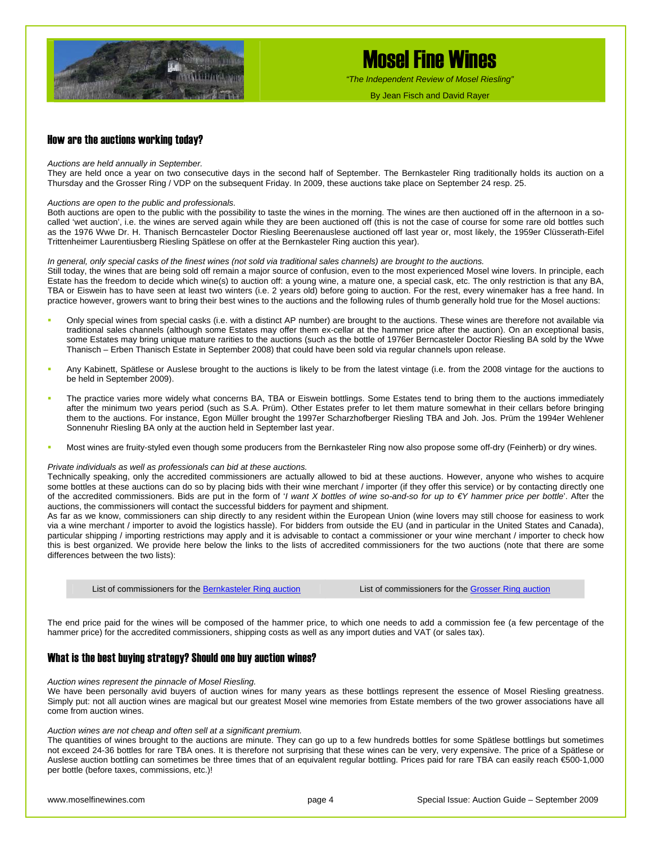

*"The Independent Review of Mosel Riesling"*

By Jean Fisch and David Rayer

#### How are the auctions working today?

#### *Auctions are held annually in September.*

They are held once a year on two consecutive days in the second half of September. The Bernkasteler Ring traditionally holds its auction on a Thursday and the Grosser Ring / VDP on the subsequent Friday. In 2009, these auctions take place on September 24 resp. 25.

#### *Auctions are open to the public and professionals.*

Both auctions are open to the public with the possibility to taste the wines in the morning. The wines are then auctioned off in the afternoon in a socalled 'wet auction', i.e. the wines are served again while they are been auctioned off (this is not the case of course for some rare old bottles such as the 1976 Wwe Dr. H. Thanisch Berncasteler Doctor Riesling Beerenauslese auctioned off last year or, most likely, the 1959er Clüsserath-Eifel Trittenheimer Laurentiusberg Riesling Spätlese on offer at the Bernkasteler Ring auction this year).

#### *In general, only special casks of the finest wines (not sold via traditional sales channels) are brought to the auctions.*

Still today, the wines that are being sold off remain a major source of confusion, even to the most experienced Mosel wine lovers. In principle, each Estate has the freedom to decide which wine(s) to auction off: a young wine, a mature one, a special cask, etc. The only restriction is that any BA, TBA or Eiswein has to have seen at least two winters (i.e. 2 years old) before going to auction. For the rest, every winemaker has a free hand. In practice however, growers want to bring their best wines to the auctions and the following rules of thumb generally hold true for the Mosel auctions:

- Only special wines from special casks (i.e. with a distinct AP number) are brought to the auctions. These wines are therefore not available via traditional sales channels (although some Estates may offer them ex-cellar at the hammer price after the auction). On an exceptional basis, some Estates may bring unique mature rarities to the auctions (such as the bottle of 1976er Berncasteler Doctor Riesling BA sold by the Wwe Thanisch – Erben Thanisch Estate in September 2008) that could have been sold via regular channels upon release.
- Any Kabinett, Spätlese or Auslese brought to the auctions is likely to be from the latest vintage (i.e. from the 2008 vintage for the auctions to be held in September 2009).
- The practice varies more widely what concerns BA, TBA or Eiswein bottlings. Some Estates tend to bring them to the auctions immediately after the minimum two years period (such as S.A. Prüm). Other Estates prefer to let them mature somewhat in their cellars before bringing them to the auctions. For instance, Egon Müller brought the 1997er Scharzhofberger Riesling TBA and Joh. Jos. Prüm the 1994er Wehlener Sonnenuhr Riesling BA only at the auction held in September last year.
- Most wines are fruity-styled even though some producers from the Bernkasteler Ring now also propose some off-dry (Feinherb) or dry wines.

#### *Private individuals as well as professionals can bid at these auctions.*

Technically speaking, only the accredited commissioners are actually allowed to bid at these auctions. However, anyone who wishes to acquire some bottles at these auctions can do so by placing bids with their wine merchant / importer (if they offer this service) or by contacting directly one of the accredited commissioners. Bids are put in the form of '*I want X bottles of wine so-and-so for up to €Y hammer price per bottle*'. After the auctions, the commissioners will contact the successful bidders for payment and shipment.

As far as we know, commissioners can ship directly to any resident within the European Union (wine lovers may still choose for easiness to work via a wine merchant / importer to avoid the logistics hassle). For bidders from outside the EU (and in particular in the United States and Canada), particular shipping / importing restrictions may apply and it is advisable to contact a commissioner or your wine merchant / importer to check how this is best organized. We provide here below the links to the lists of accredited commissioners for the two auctions (note that there are some differences between the two lists):

List of commissioners for the [Bernkasteler Ring auction](http://www.bernkasteler-ring.de/images/die_kommissionaere.pdf) List of commissioners for the [Grosser Ring auction](http://www.vdp.de/de/vdp-weinversteigerungen/kommissionaere)

The end price paid for the wines will be composed of the hammer price, to which one needs to add a commission fee (a few percentage of the hammer price) for the accredited commissioners, shipping costs as well as any import duties and VAT (or sales tax).

#### What is the best buying strategy? Should one buy auction wines?

#### *Auction wines represent the pinnacle of Mosel Riesling.*

We have been personally avid buyers of auction wines for many years as these bottlings represent the essence of Mosel Riesling greatness. Simply put: not all auction wines are magical but our greatest Mosel wine memories from Estate members of the two grower associations have all come from auction wines.

#### *Auction wines are not cheap and often sell at a significant premium.*

The quantities of wines brought to the auctions are minute. They can go up to a few hundreds bottles for some Spätlese bottlings but sometimes not exceed 24-36 bottles for rare TBA ones. It is therefore not surprising that these wines can be very, very expensive. The price of a Spätlese or Auslese auction bottling can sometimes be three times that of an equivalent regular bottling. Prices paid for rare TBA can easily reach €500-1,000 per bottle (before taxes, commissions, etc.)!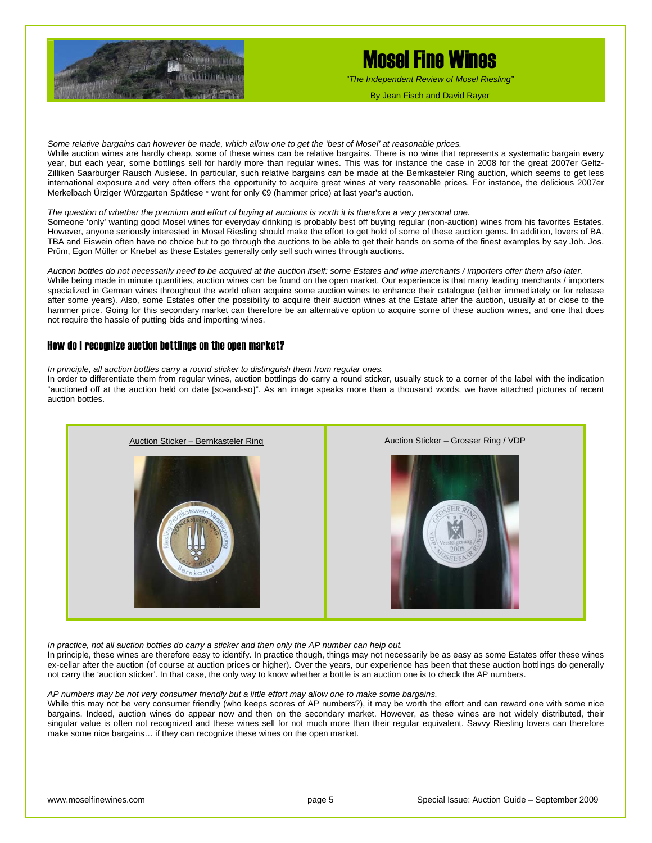

*"The Independent Review of Mosel Riesling"*

By Jean Fisch and David Rayer

*Some relative bargains can however be made, which allow one to get the 'best of Mosel' at reasonable prices.*  While auction wines are hardly cheap, some of these wines can be relative bargains. There is no wine that represents a systematic bargain every year, but each year, some bottlings sell for hardly more than regular wines. This was for instance the case in 2008 for the great 2007er Geltz-Zilliken Saarburger Rausch Auslese. In particular, such relative bargains can be made at the Bernkasteler Ring auction, which seems to get less international exposure and very often offers the opportunity to acquire great wines at very reasonable prices. For instance, the delicious 2007er Merkelbach Ürziger Würzgarten Spätlese \* went for only €9 (hammer price) at last year's auction.

#### *The question of whether the premium and effort of buying at auctions is worth it is therefore a very personal one.*

Someone 'only' wanting good Mosel wines for everyday drinking is probably best off buying regular (non-auction) wines from his favorites Estates. However, anyone seriously interested in Mosel Riesling should make the effort to get hold of some of these auction gems. In addition, lovers of BA, TBA and Eiswein often have no choice but to go through the auctions to be able to get their hands on some of the finest examples by say Joh. Jos. Prüm, Egon Müller or Knebel as these Estates generally only sell such wines through auctions.

*Auction bottles do not necessarily need to be acquired at the auction itself: some Estates and wine merchants / importers offer them also later.*  While being made in minute quantities, auction wines can be found on the open market. Our experience is that many leading merchants / importers specialized in German wines throughout the world often acquire some auction wines to enhance their catalogue (either immediately or for release after some years). Also, some Estates offer the possibility to acquire their auction wines at the Estate after the auction, usually at or close to the hammer price. Going for this secondary market can therefore be an alternative option to acquire some of these auction wines, and one that does not require the hassle of putting bids and importing wines.

#### How do I recognize auction bottlings on the open market?

*In principle, all auction bottles carry a round sticker to distinguish them from regular ones.* 

In order to differentiate them from regular wines, auction bottlings do carry a round sticker, usually stuck to a corner of the label with the indication "auctioned off at the auction held on date [so-and-so]". As an image speaks more than a thousand words, we have attached pictures of recent auction bottles.



In practice, not all auction bottles do carry a sticker and then only the AP number can help out.

In principle, these wines are therefore easy to identify. In practice though, things may not necessarily be as easy as some Estates offer these wines ex-cellar after the auction (of course at auction prices or higher). Over the years, our experience has been that these auction bottlings do generally not carry the 'auction sticker'. In that case, the only way to know whether a bottle is an auction one is to check the AP numbers.

#### *AP numbers may be not very consumer friendly but a little effort may allow one to make some bargains.*

While this may not be very consumer friendly (who keeps scores of AP numbers?), it may be worth the effort and can reward one with some nice bargains. Indeed, auction wines do appear now and then on the secondary market. However, as these wines are not widely distributed, their singular value is often not recognized and these wines sell for not much more than their regular equivalent. Savvy Riesling lovers can therefore make some nice bargains… if they can recognize these wines on the open market.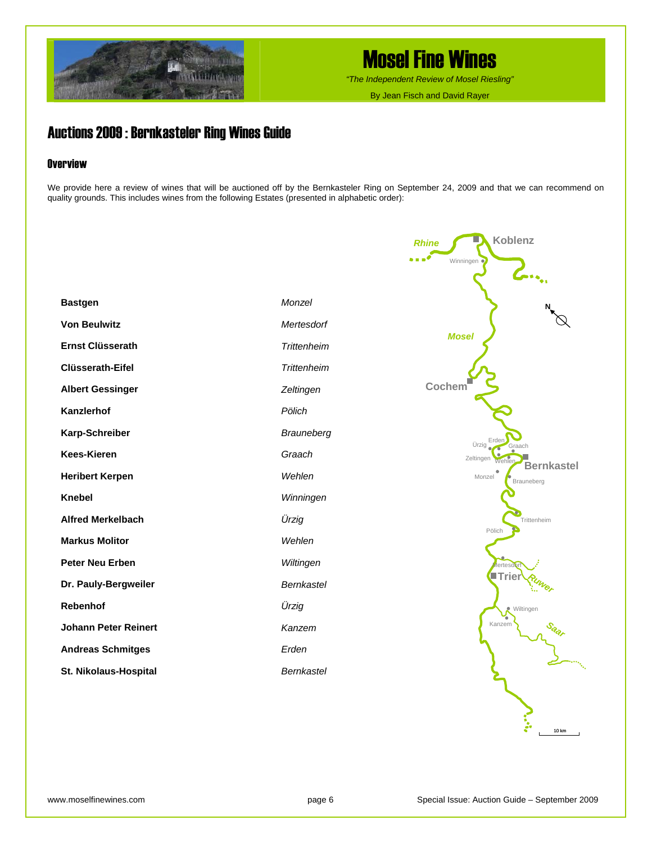

*"The Independent Review of Mosel Riesling"*

By Jean Fisch and David Rayer

## Auctions 2009 : Bernkasteler Ring Wines Guide

### **Overview**

We provide here a review of wines that will be auctioned off by the Bernkasteler Ring on September 24, 2009 and that we can recommend on quality grounds. This includes wines from the following Estates (presented in alphabetic order):

| <b>Bastgen</b>              | Monzel             |
|-----------------------------|--------------------|
| <b>Von Beulwitz</b>         | Mertesdorf         |
| <b>Ernst Clüsserath</b>     | <b>Trittenheim</b> |
| <b>Clüsserath-Eifel</b>     | <b>Trittenheim</b> |
| <b>Albert Gessinger</b>     | Zeltingen          |
| Kanzlerhof                  | Pölich             |
| Karp-Schreiber              | <b>Brauneberg</b>  |
| <b>Kees-Kieren</b>          | Graach             |
| <b>Heribert Kerpen</b>      | Wehlen             |
| <b>Knebel</b>               | Winningen          |
| <b>Alfred Merkelbach</b>    | Ürzig              |
| <b>Markus Molitor</b>       | Wehlen             |
| <b>Peter Neu Erben</b>      | Wiltingen          |
| Dr. Pauly-Bergweiler        | Bernkastel         |
| Rebenhof                    | Ürzig              |
| <b>Johann Peter Reinert</b> | Kanzem             |
| <b>Andreas Schmitges</b>    | Erden              |
| St. Nikolaus-Hospital       | <b>Bernkastel</b>  |

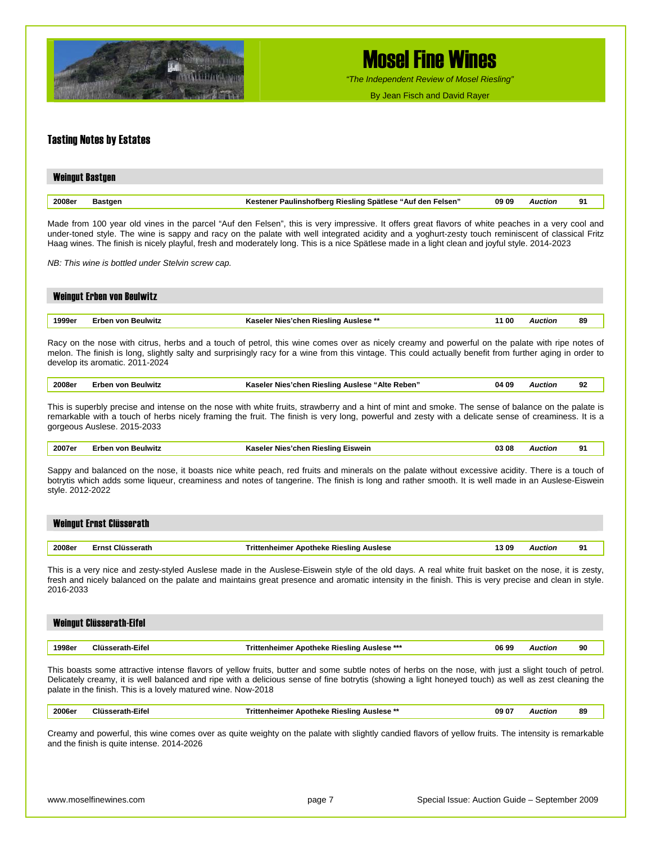

*"The Independent Review of Mosel Riesling"*

By Jean Fisch and David Rayer

#### Tasting Notes by Estates

| <b>Weingut Bastgen</b> |                |                                                            |       |                |    |
|------------------------|----------------|------------------------------------------------------------|-------|----------------|----|
|                        |                |                                                            |       |                |    |
| 2008er                 | <b>Bastgen</b> | Kestener Paulinshofberg Riesling Spätlese "Auf den Felsen" | 09 09 | <b>Auction</b> | 91 |

Made from 100 year old vines in the parcel "Auf den Felsen", this is very impressive. It offers great flavors of white peaches in a very cool and under-toned style. The wine is sappy and racy on the palate with well integrated acidity and a yoghurt-zesty touch reminiscent of classical Fritz Haag wines. The finish is nicely playful, fresh and moderately long. This is a nice Spätlese made in a light clean and joyful style. 2014-2023

*NB: This wine is bottled under Stelvin screw cap.* 

|        | <b>Weingut Erben von Beulwitz</b> |                                       |       |         |    |
|--------|-----------------------------------|---------------------------------------|-------|---------|----|
|        |                                   |                                       |       |         |    |
| 1999er | Erben von Beulwitz                | Kaseler Nies'chen Riesling Auslese ** | 11 00 | Auction | 89 |
|        |                                   |                                       |       |         |    |

Racy on the nose with citrus, herbs and a touch of petrol, this wine comes over as nicely creamy and powerful on the palate with ripe notes of melon. The finish is long, slightly salty and surprisingly racy for a wine from this vintage. This could actually benefit from further aging in order to develop its aromatic. 2011-2024

| 2008er | Beulwitz<br>∠rhen von ' | Alte<br>s'chen Riesling Auslese<br>. Reben'<br>Kaseler<br><b>Nies</b> | 04 09 | Auction<br>. | 92 |
|--------|-------------------------|-----------------------------------------------------------------------|-------|--------------|----|
|--------|-------------------------|-----------------------------------------------------------------------|-------|--------------|----|

This is superbly precise and intense on the nose with white fruits, strawberry and a hint of mint and smoke. The sense of balance on the palate is remarkable with a touch of herbs nicely framing the fruit. The finish is very long, powerful and zesty with a delicate sense of creaminess. It is a gorgeous Auslese. 2015-2033

| 2007er | Erben von Beulwitz | Kaseler Nies'chen Riesling Eiswein                                                                                                             | 03 08 | Auction | 91 |
|--------|--------------------|------------------------------------------------------------------------------------------------------------------------------------------------|-------|---------|----|
|        |                    |                                                                                                                                                |       |         |    |
|        |                    | Sappy and belanced on the ness it boasts nice white posch red fruits and minerals on the polate without excessive acidity. There is a touch of |       |         |    |

appy and balanced on the nose, it boasts nice white peach, red fruits and minerals on the palate without excessive acidity. There is a botrytis which adds some liqueur, creaminess and notes of tangerine. The finish is long and rather smooth. It is well made in an Auslese-Eiswein style. 2012-2022

|        | Weingut Ernst Clüsserath |                                         |      |         |    |
|--------|--------------------------|-----------------------------------------|------|---------|----|
|        |                          |                                         |      |         |    |
| 2008er | Ernst Clüsserath         | Trittenheimer Apotheke Riesling Auslese | 1309 | Auction | 91 |

This is a very nice and zesty-styled Auslese made in the Auslese-Eiswein style of the old days. A real white fruit basket on the nose, it is zesty, fresh and nicely balanced on the palate and maintains great presence and aromatic intensity in the finish. This is very precise and clean in style. 2016-2033

|        | <b>Weingut Clüsserath-Eifel</b> |                                                    |       |        |    |
|--------|---------------------------------|----------------------------------------------------|-------|--------|----|
|        |                                 |                                                    |       |        |    |
| 1998er | Clüsserath-Eifel                | <b>Trittenheimer Apotheke Riesling Auslese ***</b> | 06 99 | uction | 90 |

This boasts some attractive intense flavors of yellow fruits, butter and some subtle notes of herbs on the nose, with just a slight touch of petrol. Delicately creamy, it is well balanced and ripe with a delicious sense of fine botrytis (showing a light honeyed touch) as well as zest cleaning the palate in the finish. This is a lovely matured wine. Now-2018

| 2006e <sub>1</sub> | ---<br>∹ıteı | …noke '<br><b>Rieslind</b><br>: Auslese<br><br>-<br>IIGRE | 0907 | wction | 89 |
|--------------------|--------------|-----------------------------------------------------------|------|--------|----|
|                    |              |                                                           |      |        |    |

Creamy and powerful, this wine comes over as quite weighty on the palate with slightly candied flavors of yellow fruits. The intensity is remarkable and the finish is quite intense. 2014-2026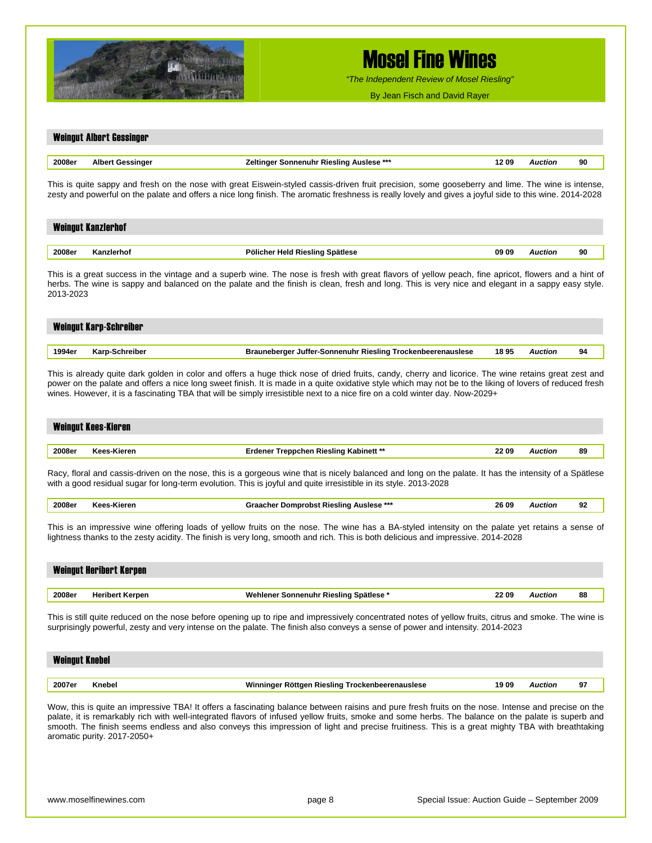

*"The Independent Review of Mosel Riesling"*

By Jean Fisch and David Rayer

|                       | <b>Weingut Albert Gessinger</b> |                                                                                                                                                                                                                                                                                                                                                                                                                                                              |       |                |    |
|-----------------------|---------------------------------|--------------------------------------------------------------------------------------------------------------------------------------------------------------------------------------------------------------------------------------------------------------------------------------------------------------------------------------------------------------------------------------------------------------------------------------------------------------|-------|----------------|----|
| 2008er                | <b>Albert Gessinger</b>         | Zeltinger Sonnenuhr Riesling Auslese ***                                                                                                                                                                                                                                                                                                                                                                                                                     | 1209  | <b>Auction</b> | 90 |
|                       |                                 | This is quite sappy and fresh on the nose with great Eiswein-styled cassis-driven fruit precision, some gooseberry and lime. The wine is intense,<br>zesty and powerful on the palate and offers a nice long finish. The aromatic freshness is really lovely and gives a joyful side to this wine. 2014-2028                                                                                                                                                 |       |                |    |
|                       | <b>Weingut Kanzlerhof</b>       |                                                                                                                                                                                                                                                                                                                                                                                                                                                              |       |                |    |
| 2008er                | Kanzlerhof                      | Pölicher Held Riesling Spätlese                                                                                                                                                                                                                                                                                                                                                                                                                              | 09 09 | <b>Auction</b> | 90 |
| 2013-2023             |                                 | This is a great success in the vintage and a superb wine. The nose is fresh with great flavors of yellow peach, fine apricot, flowers and a hint of<br>herbs. The wine is sappy and balanced on the palate and the finish is clean, fresh and long. This is very nice and elegant in a sappy easy style.                                                                                                                                                     |       |                |    |
|                       | <b>Weingut Karp-Schreiber</b>   |                                                                                                                                                                                                                                                                                                                                                                                                                                                              |       |                |    |
| 1994er                | Karp-Schreiber                  | Brauneberger Juffer-Sonnenuhr Riesling Trockenbeerenauslese                                                                                                                                                                                                                                                                                                                                                                                                  | 1895  | <b>Auction</b> | 94 |
|                       | <b>Weingut Kees-Kieren</b>      | This is already quite dark golden in color and offers a huge thick nose of dried fruits, candy, cherry and licorice. The wine retains great zest and<br>power on the palate and offers a nice long sweet finish. It is made in a quite oxidative style which may not be to the liking of lovers of reduced fresh<br>wines. However, it is a fascinating TBA that will be simply irresistible next to a nice fire on a cold winter day. Now-2029+             |       |                |    |
| 2008er                | Kees-Kieren                     | <b>Erdener Treppchen Riesling Kabinett **</b>                                                                                                                                                                                                                                                                                                                                                                                                                | 22 09 | <b>Auction</b> | 89 |
|                       |                                 | Racy, floral and cassis-driven on the nose, this is a gorgeous wine that is nicely balanced and long on the palate. It has the intensity of a Spätlese<br>with a good residual sugar for long-term evolution. This is joyful and quite irresistible in its style. 2013-2028                                                                                                                                                                                  |       |                |    |
| 2008er                | Kees-Kieren                     | Graacher Domprobst Riesling Auslese ***                                                                                                                                                                                                                                                                                                                                                                                                                      | 26 09 | <b>Auction</b> | 92 |
|                       |                                 | This is an impressive wine offering loads of yellow fruits on the nose. The wine has a BA-styled intensity on the palate yet retains a sense of<br>lightness thanks to the zesty acidity. The finish is very long, smooth and rich. This is both delicious and impressive. 2014-2028                                                                                                                                                                         |       |                |    |
|                       | <b>Weingut Heribert Kerpen</b>  |                                                                                                                                                                                                                                                                                                                                                                                                                                                              |       |                |    |
| 2008er                | <b>Heribert Kerpen</b>          | Wehlener Sonnenuhr Riesling Spätlese *                                                                                                                                                                                                                                                                                                                                                                                                                       | 22 09 | <b>Auction</b> | 88 |
|                       |                                 | This is still quite reduced on the nose before opening up to ripe and impressively concentrated notes of yellow fruits, citrus and smoke. The wine is<br>surprisingly powerful, zesty and very intense on the palate. The finish also conveys a sense of power and intensity. 2014-2023                                                                                                                                                                      |       |                |    |
| <b>Weingut Knebel</b> |                                 |                                                                                                                                                                                                                                                                                                                                                                                                                                                              |       |                |    |
| 2007er                | Knebel                          | Winninger Röttgen Riesling Trockenbeerenauslese                                                                                                                                                                                                                                                                                                                                                                                                              | 1909  | <b>Auction</b> | 97 |
|                       |                                 | Wow, this is quite an impressive TBA! It offers a fascinating balance between raisins and pure fresh fruits on the nose. Intense and precise on the<br>palate, it is remarkably rich with well-integrated flavors of infused yellow fruits, smoke and some herbs. The balance on the palate is superb and<br>smooth. The finish seems endless and also conveys this impression of light and precise fruitiness. This is a great mighty TBA with breathtaking |       |                |    |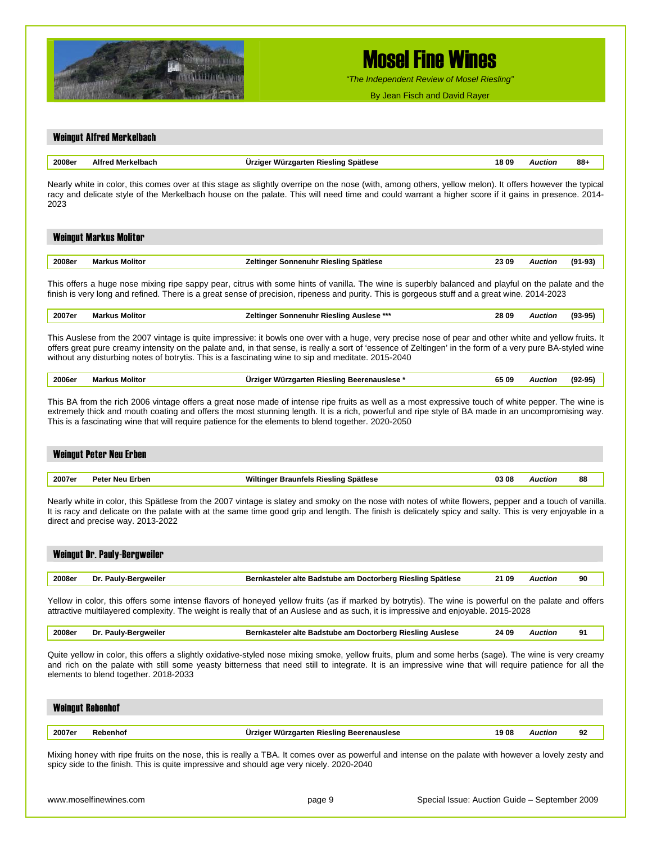

*"The Independent Review of Mosel Riesling"*

By Jean Fisch and David Rayer

| 2008er | <b>Alfred Merkelbach</b>              | Ürziger Würzgarten Riesling Spätlese                                                                                                                                                                                                                                                                                                                                                                                       | 18 09 | <b>Auction</b> | 88+       |
|--------|---------------------------------------|----------------------------------------------------------------------------------------------------------------------------------------------------------------------------------------------------------------------------------------------------------------------------------------------------------------------------------------------------------------------------------------------------------------------------|-------|----------------|-----------|
|        |                                       |                                                                                                                                                                                                                                                                                                                                                                                                                            |       |                |           |
| 2023   |                                       | Nearly white in color, this comes over at this stage as slightly overripe on the nose (with, among others, yellow melon). It offers however the typical<br>racy and delicate style of the Merkelbach house on the palate. This will need time and could warrant a higher score if it gains in presence. 2014-                                                                                                              |       |                |           |
|        | <b>Weingut Markus Molitor</b>         |                                                                                                                                                                                                                                                                                                                                                                                                                            |       |                |           |
| 2008er | <b>Markus Molitor</b>                 | Zeltinger Sonnenuhr Riesling Spätlese                                                                                                                                                                                                                                                                                                                                                                                      | 23 09 | <b>Auction</b> | $(91-93)$ |
|        |                                       | This offers a huge nose mixing ripe sappy pear, citrus with some hints of vanilla. The wine is superbly balanced and playful on the palate and the<br>finish is very long and refined. There is a great sense of precision, ripeness and purity. This is gorgeous stuff and a great wine. 2014-2023                                                                                                                        |       |                |           |
| 2007er | <b>Markus Molitor</b>                 | Zeltinger Sonnenuhr Riesling Auslese ***                                                                                                                                                                                                                                                                                                                                                                                   | 28 09 | <b>Auction</b> | $(93-95)$ |
|        |                                       | This Auslese from the 2007 vintage is quite impressive: it bowls one over with a huge, very precise nose of pear and other white and yellow fruits. It<br>offers great pure creamy intensity on the palate and, in that sense, is really a sort of 'essence of Zeltingen' in the form of a very pure BA-styled wine<br>without any disturbing notes of botrytis. This is a fascinating wine to sip and meditate. 2015-2040 |       |                |           |
| 2006er | <b>Markus Molitor</b>                 | Ürziger Würzgarten Riesling Beerenauslese *                                                                                                                                                                                                                                                                                                                                                                                | 65 09 | <b>Auction</b> | $(92-95)$ |
|        |                                       | This BA from the rich 2006 vintage offers a great nose made of intense ripe fruits as well as a most expressive touch of white pepper. The wine is<br>extremely thick and mouth coating and offers the most stunning length. It is a rich, powerful and ripe style of BA made in an uncompromising way.<br>This is a fascinating wine that will require patience for the elements to blend together. 2020-2050             |       |                |           |
|        | <b>Weingut Peter Neu Erben</b>        |                                                                                                                                                                                                                                                                                                                                                                                                                            |       |                |           |
| 2007er | <b>Peter Neu Erben</b>                | Wiltinger Braunfels Riesling Spätlese                                                                                                                                                                                                                                                                                                                                                                                      | 03 08 | <b>Auction</b> | 88        |
|        | direct and precise way. 2013-2022     | Nearly white in color, this Spätlese from the 2007 vintage is slatey and smoky on the nose with notes of white flowers, pepper and a touch of vanilla.<br>It is racy and delicate on the palate with at the same time good grip and length. The finish is delicately spicy and salty. This is very enjoyable in a                                                                                                          |       |                |           |
|        | <b>Weingut Dr. Pauly-Bergweiler</b>   |                                                                                                                                                                                                                                                                                                                                                                                                                            |       |                |           |
| 2008er | Dr. Pauly-Bergweiler                  | Bernkasteler alte Badstube am Doctorberg Riesling Spätlese                                                                                                                                                                                                                                                                                                                                                                 | 21 09 | <b>Auction</b> | 90        |
|        |                                       | Yellow in color, this offers some intense flavors of honeyed yellow fruits (as if marked by botrytis). The wine is powerful on the palate and offers<br>attractive multilayered complexity. The weight is really that of an Auslese and as such, it is impressive and enjoyable. 2015-2028                                                                                                                                 |       |                |           |
| 2008er | Dr. Pauly-Bergweiler                  | Bernkasteler alte Badstube am Doctorberg Riesling Auslese                                                                                                                                                                                                                                                                                                                                                                  | 24 09 | <b>Auction</b> | 91        |
|        | elements to blend together. 2018-2033 | Quite yellow in color, this offers a slightly oxidative-styled nose mixing smoke, yellow fruits, plum and some herbs (sage). The wine is very creamy<br>and rich on the palate with still some yeasty bitterness that need still to integrate. It is an impressive wine that will require patience for all the                                                                                                             |       |                |           |
|        | <b>Weingut Rebenhof</b>               |                                                                                                                                                                                                                                                                                                                                                                                                                            |       |                |           |

spicy side to the finish. This is quite impressive and should age very nicely. 2020-2040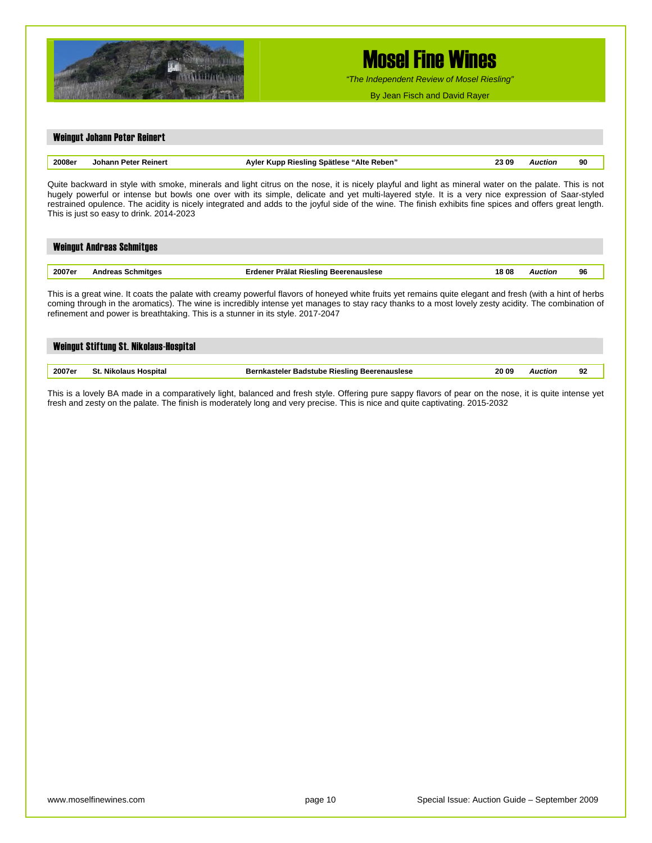

*"The Independent Review of Mosel Riesling"*

By Jean Fisch and David Rayer

## Weingut Johann Peter Reinert **2008er Johann Peter Reinert Ayler Kupp Riesling Spätlese "Alte Reben" 23 09** *Auction* **90**

Quite backward in style with smoke, minerals and light citrus on the nose, it is nicely playful and light as mineral water on the palate. This is not hugely powerful or intense but bowls one over with its simple, delicate and yet multi-layered style. It is a very nice expression of Saar-styled restrained opulence. The acidity is nicely integrated and adds to the joyful side of the wine. The finish exhibits fine spices and offers great length. This is just so easy to drink. 2014-2023

|        | <b>Weingut Andreas Schmitges</b> |                                       |      |         |    |
|--------|----------------------------------|---------------------------------------|------|---------|----|
| 2007er | <b>Andreas Schmitges</b>         | Erdener Prälat Riesling Beerenauslese | 1808 | Auction | 96 |

This is a great wine. It coats the palate with creamy powerful flavors of honeyed white fruits yet remains quite elegant and fresh (with a hint of herbs coming through in the aromatics). The wine is incredibly intense yet manages to stay racy thanks to a most lovely zesty acidity. The combination of refinement and power is breathtaking. This is a stunner in its style. 2017-2047

|        | Weingut Stiftung St. Nikolaus-Hospital |                                              |       |                |    |
|--------|----------------------------------------|----------------------------------------------|-------|----------------|----|
|        |                                        |                                              |       |                |    |
| 2007er | St. Nikolaus Hospital                  | Bernkasteler Badstube Riesling Beerenauslese | 20 09 | <b>Auction</b> | 92 |

This is a lovely BA made in a comparatively light, balanced and fresh style. Offering pure sappy flavors of pear on the nose, it is quite intense yet fresh and zesty on the palate. The finish is moderately long and very precise. This is nice and quite captivating. 2015-2032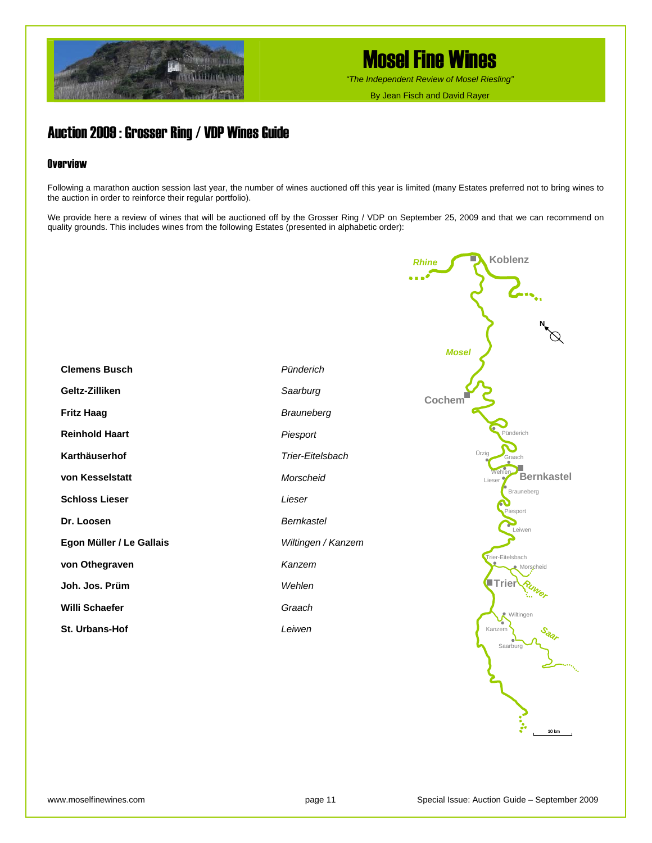

*"The Independent Review of Mosel Riesling"*

By Jean Fisch and David Rayer

### Auction 2009 : Grosser Ring / VDP Wines Guide

### **Overview**

Following a marathon auction session last year, the number of wines auctioned off this year is limited (many Estates preferred not to bring wines to the auction in order to reinforce their regular portfolio).

We provide here a review of wines that will be auctioned off by the Grosser Ring / VDP on September 25, 2009 and that we can recommend on quality grounds. This includes wines from the following Estates (presented in alphabetic order):



10 km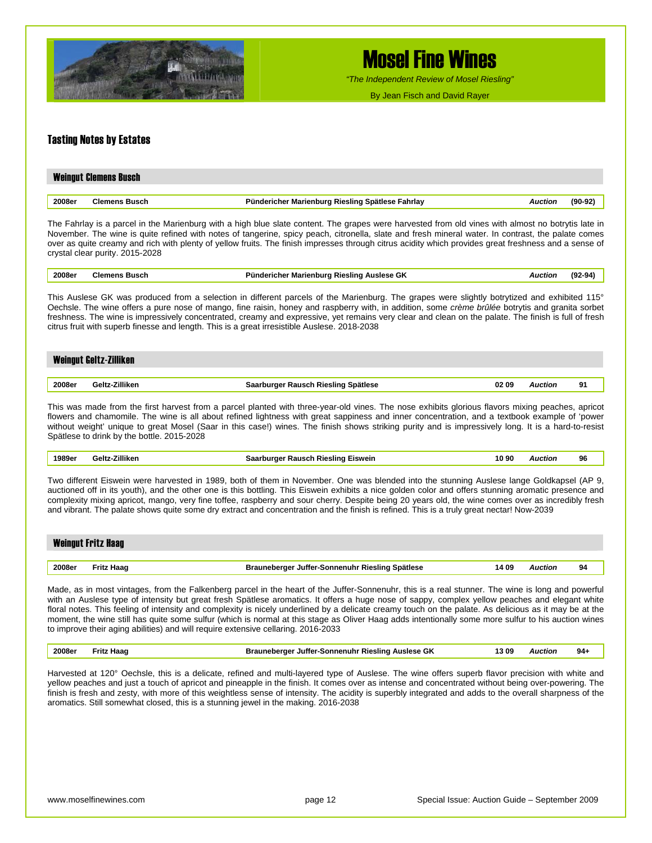

*"The Independent Review of Mosel Riesling"*

By Jean Fisch and David Rayer

#### Tasting Notes by Estates

|        | <b>Weingut Clemens Busch</b> |                                                             |        |
|--------|------------------------------|-------------------------------------------------------------|--------|
| 2008er | <b>Clemens Busch</b>         | Pündericher Marienburg Riesling Spätlese Fahrlay<br>Auction | (90-92 |

The Fahrlay is a parcel in the Marienburg with a high blue slate content. The grapes were harvested from old vines with almost no botrytis late in November. The wine is quite refined with notes of tangerine, spicy peach, citronella, slate and fresh mineral water. In contrast, the palate comes over as quite creamy and rich with plenty of yellow fruits. The finish impresses through citrus acidity which provides great freshness and a sense of crystal clear purity. 2015-2028

|--|

This Auslese GK was produced from a selection in different parcels of the Marienburg. The grapes were slightly botrytized and exhibited 115° Oechsle. The wine offers a pure nose of mango, fine raisin, honey and raspberry with, in addition, some *crème brûlée* botrytis and granita sorbet freshness. The wine is impressively concentrated, creamy and expressive, yet remains very clear and clean on the palate. The finish is full of fresh citrus fruit with superb finesse and length. This is a great irresistible Auslese. 2018-2038

#### Weingut Geltz-Zilliken

| 2008er<br>. | 'illiken<br>$-0.15$ | Spätlese<br><b>RIESIING</b><br>υz<br>- 100<br>.7117<br>. | ` O∴<br>. | AUCTION<br>. | о4<br>- |
|-------------|---------------------|----------------------------------------------------------|-----------|--------------|---------|
|             |                     |                                                          |           |              |         |

This was made from the first harvest from a parcel planted with three-year-old vines. The nose exhibits glorious flavors mixing peaches, apricot flowers and chamomile. The wine is all about refined lightness with great sappiness and inner concentration, and a textbook example of 'power without weight' unique to great Mosel (Saar in this case!) wines. The finish shows striking purity and is impressively long. It is a hard-to-resist Spätlese to drink by the bottle. 2015-2028

| 1989er | 7illiken<br>ح+اهہ | Rausch Riesling Eiswein                                                                                                                                         | 10 90 | wctior<br>. | 96 |
|--------|-------------------|-----------------------------------------------------------------------------------------------------------------------------------------------------------------|-------|-------------|----|
|        |                   | $\pm \ldots$ ifferent $\pm \ldots$ then the sense of the state of the contraction of the contraction of the state of the state of $\wedge$ if $\wedge$ $\wedge$ |       |             |    |

Two different Eiswein were harvested in 1989, both of them in November. One was blended into the stunning Auslese lange Goldkapsel (AP 9, auctioned off in its youth), and the other one is this bottling. This Eiswein exhibits a nice golden color and offers stunning aromatic presence and complexity mixing apricot, mango, very fine toffee, raspberry and sour cherry. Despite being 20 years old, the wine comes over as incredibly fresh and vibrant. The palate shows quite some dry extract and concentration and the finish is refined. This is a truly great nectar! Now-2039

|        | <b>Weingut Fritz Haag</b> |                                                 |       |    |
|--------|---------------------------|-------------------------------------------------|-------|----|
|        |                           |                                                 |       |    |
| 2008er | Fritz Haag                | Brauneberger Juffer-Sonnenuhr Riesling Spätlese | 14 09 | 94 |

Made, as in most vintages, from the Falkenberg parcel in the heart of the Juffer-Sonnenuhr, this is a real stunner. The wine is long and powerful with an Auslese type of intensity but great fresh Spätlese aromatics. It offers a huge nose of sappy, complex yellow peaches and elegant white floral notes. This feeling of intensity and complexity is nicely underlined by a delicate creamy touch on the palate. As delicious as it may be at the moment, the wine still has quite some sulfur (which is normal at this stage as Oliver Haag adds intentionally some more sulfur to his auction wines to improve their aging abilities) and will require extensive cellaring. 2016-2033

| 2008er | : Haad<br>≂rit∡ | Brauneberger Juffer-Sonnenuhr Riesling Auslese GK | l3 09 | Auction | $94 -$ |  |
|--------|-----------------|---------------------------------------------------|-------|---------|--------|--|
|--------|-----------------|---------------------------------------------------|-------|---------|--------|--|

Harvested at 120° Oechsle, this is a delicate, refined and multi-layered type of Auslese. The wine offers superb flavor precision with white and yellow peaches and just a touch of apricot and pineapple in the finish. It comes over as intense and concentrated without being over-powering. The finish is fresh and zesty, with more of this weightless sense of intensity. The acidity is superbly integrated and adds to the overall sharpness of the aromatics. Still somewhat closed, this is a stunning jewel in the making. 2016-2038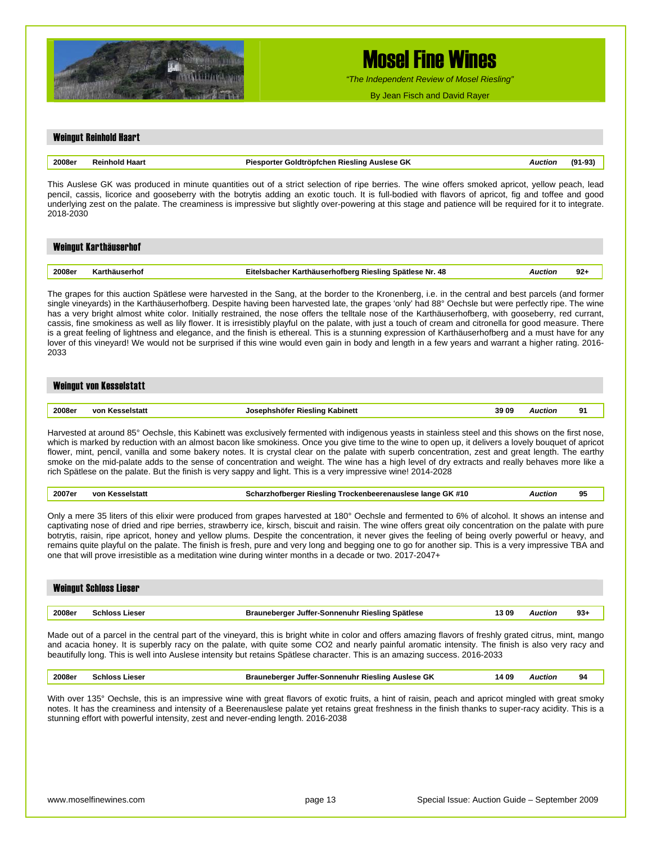

*"The Independent Review of Mosel Riesling"*

By Jean Fisch and David Rayer

### Weingut Reinhold Haart **2008er Reinhold Haart Piesporter Goldtröpfchen Riesling Auslese GK** *Auction* **(91-93)** This Auslese GK was produced in minute quantities out of a strict selection of ripe berries. The wine offers smoked apricot, yellow peach, lead pencil, cassis, licorice and gooseberry with the botrytis adding an exotic touch. It is full-bodied with flavors of apricot, fig and toffee and good underlying zest on the palate. The creaminess is impressive but slightly over-powering at this stage and patience will be required for it to integrate. 2018-2030 Weingut Karthäuserhof

| 2008er | 48<br>۰Nr.<br>Spätlese<br>u Rieslina.<br>arthauserhotherd<br>_itelst<br>.cner<br>the contract of the contract of the | Auction | $92 -$ |
|--------|----------------------------------------------------------------------------------------------------------------------|---------|--------|

The grapes for this auction Spätlese were harvested in the Sang, at the border to the Kronenberg, i.e. in the central and best parcels (and former single vineyards) in the Karthäuserhofberg. Despite having been harvested late, the grapes 'only' had 88° Oechsle but were perfectly ripe. The wine has a very bright almost white color. Initially restrained, the nose offers the telltale nose of the Karthäuserhofberg, with gooseberry, red currant, cassis, fine smokiness as well as lily flower. It is irresistibly playful on the palate, with just a touch of cream and citronella for good measure. There is a great feeling of lightness and elegance, and the finish is ethereal. This is a stunning expression of Karthäuserhofberg and a must have for any lover of this vineyard! We would not be surprised if this wine would even gain in body and length in a few years and warrant a higher rating. 2016- 2033

#### Weingut von Kesselstatt

| Rieslind<br>Auction<br>…oter :<br>амент<br>- -<br>.<br>. | 2008e <sub>1</sub> | VO. | Kabinett | 39.09 |  | . . |
|----------------------------------------------------------|--------------------|-----|----------|-------|--|-----|
|----------------------------------------------------------|--------------------|-----|----------|-------|--|-----|

Harvested at around 85° Oechsle, this Kabinett was exclusively fermented with indigenous yeasts in stainless steel and this shows on the first nose, which is marked by reduction with an almost bacon like smokiness. Once you give time to the wine to open up, it delivers a lovely bouquet of apricot flower, mint, pencil, vanilla and some bakery notes. It is crystal clear on the palate with superb concentration, zest and great length. The earthy smoke on the mid-palate adds to the sense of concentration and weight. The wine has a high level of dry extracts and really behaves more like a rich Spätlese on the palate. But the finish is very sappy and light. This is a very impressive wine! 2014-2028

| 2007er | VOI.<br>aletat. | : #10<br>Jange GK<br>Rieslina<br><b>Frockenbeerenauslese</b><br>rznotberder | ctior. | יי<br>. . |
|--------|-----------------|-----------------------------------------------------------------------------|--------|-----------|
|--------|-----------------|-----------------------------------------------------------------------------|--------|-----------|

Only a mere 35 liters of this elixir were produced from grapes harvested at 180° Oechsle and fermented to 6% of alcohol. It shows an intense and captivating nose of dried and ripe berries, strawberry ice, kirsch, biscuit and raisin. The wine offers great oily concentration on the palate with pure botrytis, raisin, ripe apricot, honey and yellow plums. Despite the concentration, it never gives the feeling of being overly powerful or heavy, and remains quite playful on the palate. The finish is fresh, pure and very long and begging one to go for another sip. This is a very impressive TBA and one that will prove irresistible as a meditation wine during winter months in a decade or two. 2017-2047+

#### Weingut Schloss Lieser

| 2008er<br>3 O<br>Spätlese<br>iacai<br><b>∵Sonnenuhr</b><br><b>Kieslind</b><br>Jutter-<br>Auctior<br>≏nιο.<br>nanarna<br><br>-1535 | ະວ |
|-----------------------------------------------------------------------------------------------------------------------------------|----|
|-----------------------------------------------------------------------------------------------------------------------------------|----|

Made out of a parcel in the central part of the vineyard, this is bright white in color and offers amazing flavors of freshly grated citrus, mint, mango and acacia honey. It is superbly racy on the palate, with quite some CO2 and nearly painful aromatic intensity. The finish is also very racy and beautifully long. This is well into Auslese intensity but retains Spätlese character. This is an amazing success. 2016-2033

| 2008er | <b>Schloss Lieser</b> | Brauneberger Juffer-Sonnenuhr Riesling Auslese GK | 14 O9 | Auction | 94 |
|--------|-----------------------|---------------------------------------------------|-------|---------|----|
|--------|-----------------------|---------------------------------------------------|-------|---------|----|

With over 135° Oechsle, this is an impressive wine with great flavors of exotic fruits, a hint of raisin, peach and apricot mingled with great smoky notes. It has the creaminess and intensity of a Beerenauslese palate yet retains great freshness in the finish thanks to super-racy acidity. This is a stunning effort with powerful intensity, zest and never-ending length. 2016-2038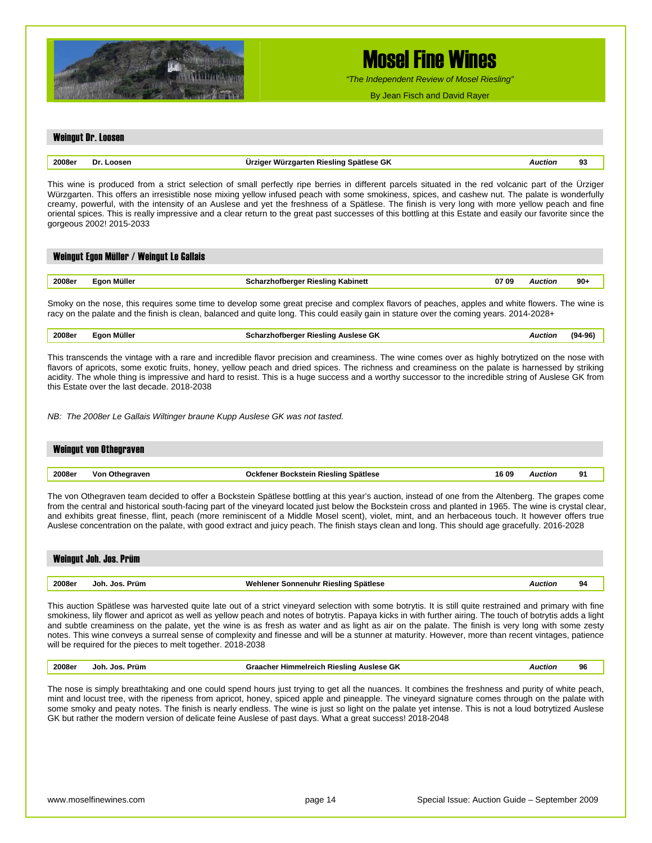

*"The Independent Review of Mosel Riesling"*

By Jean Fisch and David Rayer

#### Weingut Dr. Loosen

| Dr     | r Würzgarten Riesling Spätlese GK | Auction | 02 |
|--------|-----------------------------------|---------|----|
| Loosen | Urziger                           |         | ສະ |
|        |                                   |         |    |

This wine is produced from a strict selection of small perfectly ripe berries in different parcels situated in the red volcanic part of the Ürziger Würzgarten. This offers an irresistible nose mixing yellow infused peach with some smokiness, spices, and cashew nut. The palate is wonderfully creamy, powerful, with the intensity of an Auslese and yet the freshness of a Spätlese. The finish is very long with more yellow peach and fine oriental spices. This is really impressive and a clear return to the great past successes of this bottling at this Estate and easily our favorite since the gorgeous 2002! 2015-2033

|        | Weingut Egon Müller / Weingut Le Gallais |                                          |       |         |       |
|--------|------------------------------------------|------------------------------------------|-------|---------|-------|
|        |                                          |                                          |       |         |       |
| 2008er | Eaon Müller                              | <b>Scharzhofberger Riesling Kabinett</b> | 07 09 | Auction | $90+$ |

Smoky on the nose, this requires some time to develop some great precise and complex flavors of peaches, apples and white flowers. The wine is racy on the palate and the finish is clean, balanced and quite long. This could easily gain in stature over the coming years. 2014-2028+

| 2008e<br>----- | Aüller<br>-- | $\sim$<br>.<br>' GK<br>.slinr<br>.<br>. | . | 71 1 |
|----------------|--------------|-----------------------------------------|---|------|
|                |              |                                         |   |      |

This transcends the vintage with a rare and incredible flavor precision and creaminess. The wine comes over as highly botrytized on the nose with flavors of apricots, some exotic fruits, honey, yellow peach and dried spices. The richness and creaminess on the palate is harnessed by striking acidity. The whole thing is impressive and hard to resist. This is a huge success and a worthy successor to the incredible string of Auslese GK from this Estate over the last decade. 2018-2038

*NB: The 2008er Le Gallais Wiltinger braune Kupp Auslese GK was not tasted.* 

|        | <b>Weingut von Othegraven</b> |                                      |       |         |    |
|--------|-------------------------------|--------------------------------------|-------|---------|----|
|        |                               |                                      |       |         |    |
| 2008er | Von Othegraven                | Ockfener Bockstein Riesling Spätlese | 16 09 | \uction | Q1 |

The von Othegraven team decided to offer a Bockstein Spätlese bottling at this year's auction, instead of one from the Altenberg. The grapes come from the central and historical south-facing part of the vineyard located just below the Bockstein cross and planted in 1965. The wine is crystal clear, and exhibits great finesse, flint, peach (more reminiscent of a Middle Mosel scent), violet, mint, and an herbaceous touch. It however offers true Auslese concentration on the palate, with good extract and juicy peach. The finish stays clean and long. This should age gracefully. 2016-2028

|        | Weingut Joh. Jos. Prüm |                                      |         |    |
|--------|------------------------|--------------------------------------|---------|----|
|        |                        |                                      |         |    |
| 2008er | Joh. Jos. Prüm         | Wehlener Sonnenuhr Riesling Spätlese | Auction | 94 |

This auction Spätlese was harvested quite late out of a strict vineyard selection with some botrytis. It is still quite restrained and primary with fine smokiness, lily flower and apricot as well as yellow peach and notes of botrytis. Papaya kicks in with further airing. The touch of botrytis adds a light and subtle creaminess on the palate, yet the wine is as fresh as water and as light as air on the palate. The finish is very long with some zesty notes. This wine conveys a surreal sense of complexity and finesse and will be a stunner at maturity. However, more than recent vintages, patience will be required for the pieces to melt together. 2018-2038

| 2008er | Prüm<br>ع ما .<br>.Inh | e GK<br>'ieslinc<br>Himmeireich<br>nacher . | . | 96 |
|--------|------------------------|---------------------------------------------|---|----|
|        |                        |                                             |   |    |

The nose is simply breathtaking and one could spend hours just trying to get all the nuances. It combines the freshness and purity of white peach, mint and locust tree, with the ripeness from apricot, honey, spiced apple and pineapple. The vineyard signature comes through on the palate with some smoky and peaty notes. The finish is nearly endless. The wine is just so light on the palate yet intense. This is not a loud botrytized Auslese GK but rather the modern version of delicate feine Auslese of past days. What a great success! 2018-2048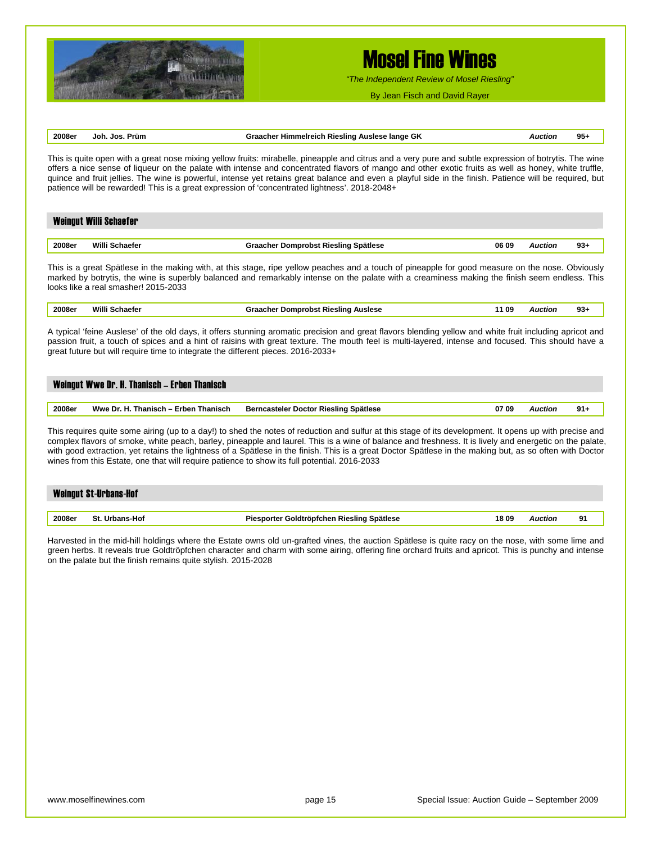

*"The Independent Review of Mosel Riesling"*

By Jean Fisch and David Rayer

### **2008er Joh. Jos. Prüm Graacher Himmelreich Riesling Auslese lange GK** *Auction* **95+**

This is quite open with a great nose mixing yellow fruits: mirabelle, pineapple and citrus and a very pure and subtle expression of botrytis. The wine offers a nice sense of liqueur on the palate with intense and concentrated flavors of mango and other exotic fruits as well as honey, white truffle, quince and fruit jellies. The wine is powerful, intense yet retains great balance and even a playful side in the finish. Patience will be required, but patience will be rewarded! This is a great expression of 'concentrated lightness'. 2018-2048+

|        | <b>Weingut Willi Schaefer</b> |                                      |       |         |        |
|--------|-------------------------------|--------------------------------------|-------|---------|--------|
|        |                               |                                      |       |         |        |
| 2008er | Willi                         | Graacher Domprobst Riesling Spätlese | 06 09 | Auction | $93 +$ |

This is a great Spätlese in the making with, at this stage, ripe yellow peaches and a touch of pineapple for good measure on the nose. Obviously marked by botrytis, the wine is superbly balanced and remarkably intense on the palate with a creaminess making the finish seem endless. This looks like a real smasher! 2015-2033

| 2008er<br>. | Mill<br>. | <b>Auslese</b><br>sunr<br>Jomr<br>лғ<br>.<br>$\qquad \qquad \blacksquare \qquad \blacksquare \qquad \blacksquare$ | -09<br>$\sim$ $\sim$ | suor<br>. | シンエ |
|-------------|-----------|-------------------------------------------------------------------------------------------------------------------|----------------------|-----------|-----|
|             |           |                                                                                                                   |                      |           |     |

A typical 'feine Auslese' of the old days, it offers stunning aromatic precision and great flavors blending yellow and white fruit including apricot and passion fruit, a touch of spices and a hint of raisins with great texture. The mouth feel is multi-layered, intense and focused. This should have a great future but will require time to integrate the different pieces. 2016-2033+

| Weingut Wwe Dr. H. Thanisch - Erben Thanisch   |                                       |       |         |        |  |  |  |
|------------------------------------------------|---------------------------------------|-------|---------|--------|--|--|--|
| Wwe Dr. H. Thanisch – Erben Thanisch<br>2008er | Berncasteler Doctor Riesling Spätlese | 07 09 | Auction | $91 -$ |  |  |  |

This requires quite some airing (up to a day!) to shed the notes of reduction and sulfur at this stage of its development. It opens up with precise and complex flavors of smoke, white peach, barley, pineapple and laurel. This is a wine of balance and freshness. It is lively and energetic on the palate, with good extraction, yet retains the lightness of a Spätlese in the finish. This is a great Doctor Spätlese in the making but, as so often with Doctor wines from this Estate, one that will require patience to show its full potential. 2016-2033

|        | <b>Weingut St-Urbans-Hof</b> |                                            |      |                |    |
|--------|------------------------------|--------------------------------------------|------|----------------|----|
|        |                              |                                            |      |                |    |
| 2008er | St. Urbans-Hof               | Piesporter Goldtröpfchen Riesling Spätlese | 1809 | <b>Auction</b> | 91 |

Harvested in the mid-hill holdings where the Estate owns old un-grafted vines, the auction Spätlese is quite racy on the nose, with some lime and green herbs. It reveals true Goldtröpfchen character and charm with some airing, offering fine orchard fruits and apricot. This is punchy and intense on the palate but the finish remains quite stylish. 2015-2028